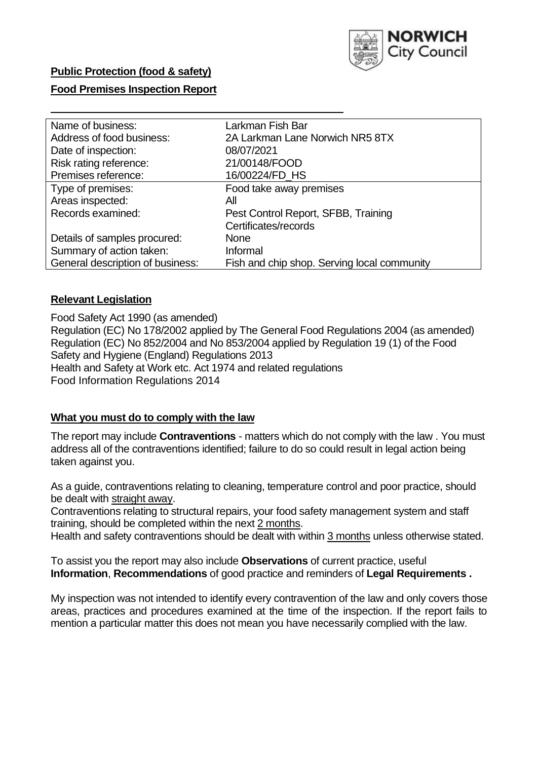

### **Public Protection (food & safety)**

### **Food Premises Inspection Report**

| Name of business:                | Larkman Fish Bar                            |
|----------------------------------|---------------------------------------------|
| Address of food business:        | 2A Larkman Lane Norwich NR5 8TX             |
| Date of inspection:              | 08/07/2021                                  |
| Risk rating reference:           | 21/00148/FOOD                               |
| Premises reference:              | 16/00224/FD_HS                              |
| Type of premises:                | Food take away premises                     |
| Areas inspected:                 | All                                         |
| Records examined:                | Pest Control Report, SFBB, Training         |
|                                  | Certificates/records                        |
| Details of samples procured:     | <b>None</b>                                 |
| Summary of action taken:         | Informal                                    |
| General description of business: | Fish and chip shop. Serving local community |

#### **Relevant Legislation**

 Food Safety Act 1990 (as amended) Regulation (EC) No 178/2002 applied by The General Food Regulations 2004 (as amended) Regulation (EC) No 852/2004 and No 853/2004 applied by Regulation 19 (1) of the Food Safety and Hygiene (England) Regulations 2013 Health and Safety at Work etc. Act 1974 and related regulations Food Information Regulations 2014

#### **What you must do to comply with the law**

 The report may include **Contraventions** - matters which do not comply with the law . You must address all of the contraventions identified; failure to do so could result in legal action being taken against you.

 As a guide, contraventions relating to cleaning, temperature control and poor practice, should be dealt with straight away.

 Contraventions relating to structural repairs, your food safety management system and staff training, should be completed within the next 2 months.

Health and safety contraventions should be dealt with within 3 months unless otherwise stated.

 To assist you the report may also include **Observations** of current practice, useful **Information**, **Recommendations** of good practice and reminders of **Legal Requirements .** 

 My inspection was not intended to identify every contravention of the law and only covers those areas, practices and procedures examined at the time of the inspection. If the report fails to mention a particular matter this does not mean you have necessarily complied with the law.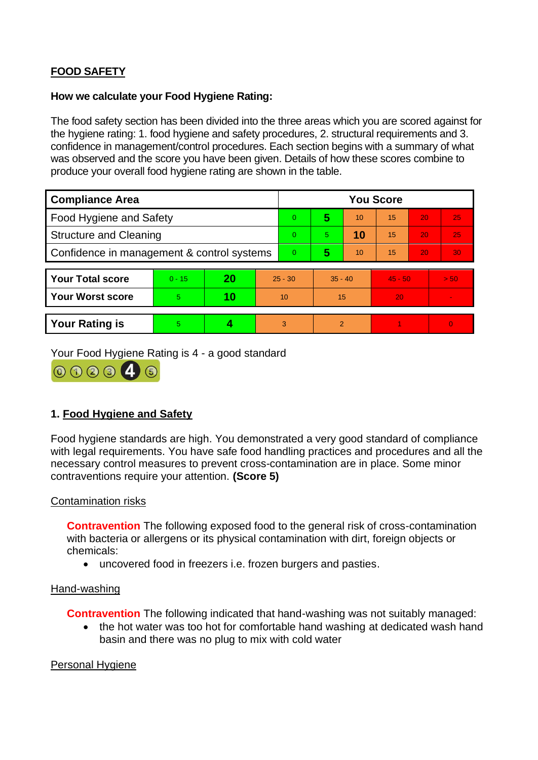# **FOOD SAFETY**

### **How we calculate your Food Hygiene Rating:**

 The food safety section has been divided into the three areas which you are scored against for the hygiene rating: 1. food hygiene and safety procedures, 2. structural requirements and 3. confidence in management/control procedures. Each section begins with a summary of what was observed and the score you have been given. Details of how these scores combine to produce your overall food hygiene rating are shown in the table.

| <b>Compliance Area</b>                     |          |    |           | <b>You Score</b> |                |    |           |    |                |  |  |
|--------------------------------------------|----------|----|-----------|------------------|----------------|----|-----------|----|----------------|--|--|
| <b>Food Hygiene and Safety</b>             |          |    |           | $\overline{0}$   | 5              | 10 | 15        | 20 | 25             |  |  |
| <b>Structure and Cleaning</b>              |          |    | $\Omega$  | 5.               | 10             | 15 | 20        | 25 |                |  |  |
| Confidence in management & control systems |          |    | $\Omega$  | 5                | 10             | 15 | 20        | 30 |                |  |  |
|                                            |          |    |           |                  |                |    |           |    |                |  |  |
| <b>Your Total score</b>                    | $0 - 15$ | 20 | $25 - 30$ |                  | $35 - 40$      |    | $45 - 50$ |    | > 50           |  |  |
| Your Worst score                           | 5.       | 10 | 10        |                  | 15             |    | 20        |    | $\blacksquare$ |  |  |
|                                            |          |    |           |                  |                |    |           |    |                |  |  |
| <b>Your Rating is</b>                      | 5        |    |           | 3                | $\overline{2}$ |    |           |    | $\overline{0}$ |  |  |

Your Food Hygiene Rating is 4 - a good standard



## **1. Food Hygiene and Safety**

 with legal requirements. You have safe food handling practices and procedures and all the Food hygiene standards are high. You demonstrated a very good standard of compliance necessary control measures to prevent cross-contamination are in place. Some minor contraventions require your attention. **(Score 5)** 

### Contamination risks

 with bacteria or allergens or its physical contamination with dirt, foreign objects or **Contravention** The following exposed food to the general risk of cross-contamination chemicals:

• uncovered food in freezers i.e. frozen burgers and pasties.

### Hand-washing

**Contravention** The following indicated that hand-washing was not suitably managed:

• the hot water was too hot for comfortable hand washing at dedicated wash hand basin and there was no plug to mix with cold water

### Personal Hygiene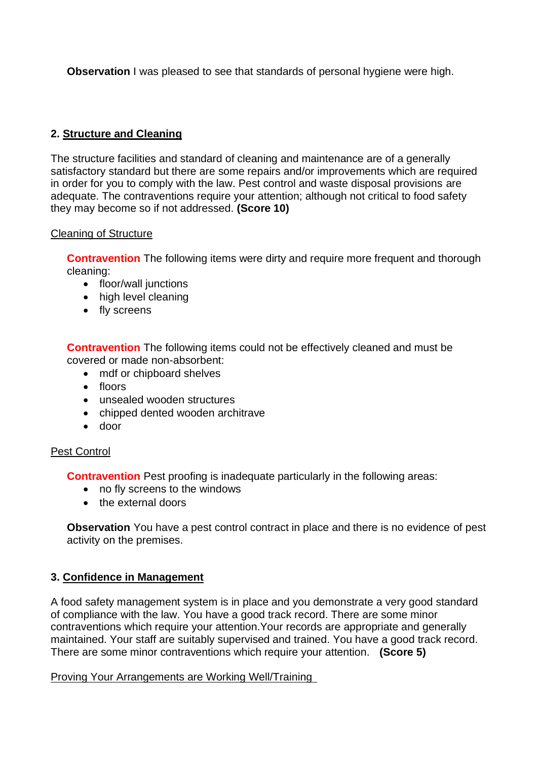**Observation** I was pleased to see that standards of personal hygiene were high.

# **2. Structure and Cleaning**

 satisfactory standard but there are some repairs and/or improvements which are required The structure facilities and standard of cleaning and maintenance are of a generally in order for you to comply with the law. Pest control and waste disposal provisions are adequate. The contraventions require your attention; although not critical to food safety they may become so if not addressed. **(Score 10)** 

### Cleaning of Structure

**Contravention** The following items were dirty and require more frequent and thorough cleaning:

- floor/wall junctions
- high level cleaning
- fly screens

**Contravention** The following items could not be effectively cleaned and must be covered or made non-absorbent:

- mdf or chipboard shelves
- floors
- unsealed wooden structures
- chipped dented wooden architrave
- door

## Pest Control

**Contravention** Pest proofing is inadequate particularly in the following areas:

- no fly screens to the windows
- the external doors

 activity on the premises. **Observation** You have a pest control contract in place and there is no evidence of pest

## **3. Confidence in Management**

 of compliance with the law. You have a good track record. There are some minor maintained. Your staff are suitably supervised and trained. You have a good track record. A food safety management system is in place and you demonstrate a very good standard contraventions which require your attention.Your records are appropriate and generally There are some minor contraventions which require your attention. **(Score 5)** 

### Proving Your Arrangements are Working Well/Training